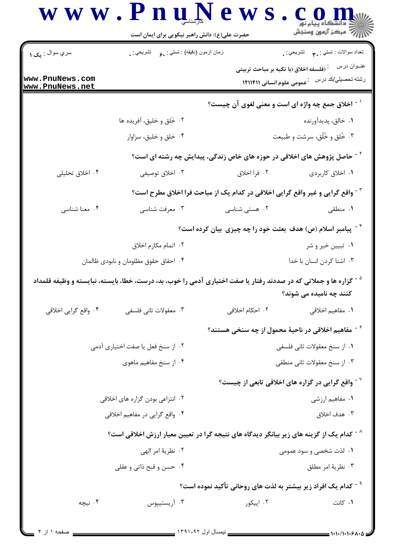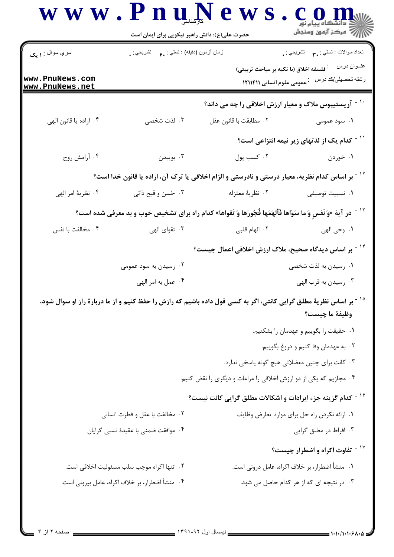| سري سوال : ۱ يک                    | زمان أزمون (دقيقه) : تستى : ¸。 تشريحي : ¸  |                                                                                                                              | نعداد سوالات : تستي : پم       تشريحي : .                           |
|------------------------------------|--------------------------------------------|------------------------------------------------------------------------------------------------------------------------------|---------------------------------------------------------------------|
| www.PnuNews.com<br>www.PnuNews.net |                                            | فلسفه اخلاق (با تكيه بر مباحث تربيتي)                                                                                        | عنــوان درس<br>رشته تحصيلي/كد درس للعمومي علوم انساني ١٢١١۴١١       |
|                                    |                                            |                                                                                                                              | <sup>۱۰ -</sup> آریستیپوس ملاک و معیار ارزش اخلاقی را چه می داند؟   |
| ۰۴ اراده يا قانون الهي             | ۰۳ لذت شخصی                                | ٠٢ مطابقت با قانون عقل                                                                                                       | ۰۱ سود عمومی                                                        |
|                                    |                                            |                                                                                                                              | ً <sup>۱</sup> <sup>-</sup> کدام یک از لذتهای زیر نیمه انتزاعی است؟ |
| ۰۴ أرامش روح                       | ۰۳ بوييدن                                  | ۰۲ کسب پول                                                                                                                   | ۰۱ خوردن                                                            |
|                                    |                                            | <sup>۱۲ -</sup> بر اساس کدام نظریه، معیار درستی و نادرستی و الزام اخلاقی یا ترک آن، اراده یا قانون خدا است؟                  |                                                                     |
| ۰۴ نظرية امر الهي                  | ۰۳ ځسن و قبح ذاتي                          | ٠٢ نظرية معتزله                                                                                                              | ۰۱ نسبیت توصیفی                                                     |
|                                    |                                            | <sup>13 -</sup> در آية «وَ نَفسٍ وَ ما سَوّاها فَأَلهَمَها فُجُورَها وَ تَقواها» كدام راه براى تشخيص خوب و بد معرفى شده است؟ |                                                                     |
| ۰۴ مخالفت با نفس                   | ۰۳ تقوای الهی                              | ۰۲ الهام قلبی                                                                                                                | ١. وحي الهي                                                         |
|                                    |                                            | <sup>۱۲ -</sup> بر اساس دیدگاه صحیح، ملاک ارزش اخلاقی اعمال چیست؟                                                            |                                                                     |
|                                    | ۰۲ رسیدن به سود عمومی                      |                                                                                                                              | ۰۱ رسیدن به لذت شخصی                                                |
|                                    | ۰۴ عمل به امر الهي                         |                                                                                                                              | ۰۳ رسیدن به قرب الهی                                                |
|                                    |                                            | بر اساس نظریهٔ مطلق گرایی کانتی، اگر به کسی قول داده باشیم که رازش را حفظ کنیم و از ما دربارهٔ راز او سوال شود،              |                                                                     |
|                                    |                                            |                                                                                                                              | وظيفة ما چيست؟                                                      |
|                                    |                                            |                                                                                                                              | ۰۱ حقیقت را بگوییم و عهدمان را بشکنیم.                              |
|                                    |                                            |                                                                                                                              | ۰۲ به عهدمان وفا کنیم و دروغ بگوییم.                                |
|                                    |                                            |                                                                                                                              | ۰۳ کانت برای چنین معضلاتی هیچ گونه پاسخی ندارد.                     |
|                                    |                                            | ۰۴ مجازیم که یکی از دو ارزش اخلاقی را مراعات و دیگری را نقض کنیم.                                                            |                                                                     |
|                                    |                                            | <sup>۱۶ -</sup> کدام گزینه جزء ایرادات و اشکالات مطلق گرایی کانت نیست؟                                                       |                                                                     |
|                                    | ۰۲ مخالفت با عقل و فطرت انسانی             |                                                                                                                              | ٠١ ارائه نكردن راه حل براي موارد تعارض وظايف                        |
|                                    | ۰۴ موافقت ضمني با عقيدهٔ نسبي گرايان       |                                                                                                                              | ۰۳ افراط در مطلق گرایی                                              |
|                                    |                                            |                                                                                                                              | <sup>۱۷ -</sup> تفاوت اکراه و اضطرار چیست؟                          |
|                                    |                                            |                                                                                                                              |                                                                     |
|                                    | ٠٢ تنها اكراه موجب سلب مسئوليت اخلاقي است. |                                                                                                                              | ٠١. منشأ اضطرار، بر خلاف اكراه، عامل دروني است.                     |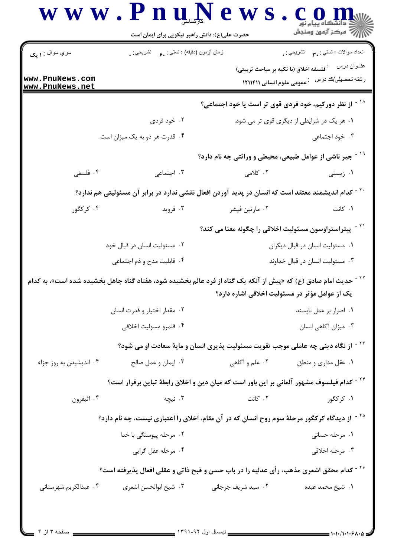|                                    | حضرت علی(ع): دانش راهبر نیکویی برای ایمان است                                                               |                                                                                               | رُ⁄ کرڪز آزمون وسنڊش                   |  |
|------------------------------------|-------------------------------------------------------------------------------------------------------------|-----------------------------------------------------------------------------------------------|----------------------------------------|--|
| سري سوال : ۱ يک                    | زمان أزمون (دقيقه) : تستي : , و     تشريحي : .                                                              |                                                                                               | تعداد سوالات : تستبي : ٩٠ - تشريحي : . |  |
| www.PnuNews.com<br>www.PnuNews.net |                                                                                                             | فلسفه اخلاق (با تکیه بر مباحث تربیتی)<br>عمومی علوم انسانی ۱۲۱۱۴۱۱                            | عنــوان درس<br>رشته تحصيلي/كد درس      |  |
|                                    |                                                                                                             | از نظر دورکیم، خود فردی قوی تر است یا خود اجتماعی؟                                            |                                        |  |
|                                    | ۰۲ خود فردی                                                                                                 | ۰۱ هر یک در شرایطی از دیگری قوی تر می شود.                                                    |                                        |  |
|                                    | ۰۴ قدرت هر دو به یک میزان است.                                                                              |                                                                                               | ۰۳ خود اجتماعی                         |  |
|                                    |                                                                                                             | جبر ناشی از عوامل طبیعی، محیطی و وراثتی چه نام دارد؟                                          |                                        |  |
| ۰۴ فلسفی                           | ۰۳ اجتماعی                                                                                                  | ۲. کلامی                                                                                      | ۰۱ زیستی                               |  |
|                                    | `` - كدام انديشمند معتقد است كه انسان در پديد آوردن افعال نقشي ندارد در برابر آن مسئوليتي هم ندارد؟         |                                                                                               |                                        |  |
| ۰۴ کرکگور                          | ۰۳ فروید                                                                                                    | ۰۲ مارتین فیشر                                                                                | ۰۱ کانت                                |  |
|                                    |                                                                                                             | ّ`` - پیتراستراوسون مسئولیت اخلاقی را چگونه معنا می کند؟                                      |                                        |  |
|                                    | ۰۲ مسئولیت انسان در قبال خود                                                                                |                                                                                               | ٠١ مسئوليت انسان در قبال ديگران        |  |
|                                    | ۰۴ قابلیت مدح و ذم اجتماعی                                                                                  | ۰۳ مسئولیت انسان در قبال خداوند                                                               |                                        |  |
|                                    | حدیث امام صادق (ع) که «پیش از آنکه یک گناه از فرد عالم بخشیده شود، هفتاد گناه جاهل بخشیده شده است»، به کدام | یک از عوامل مؤثر در مسئولیت اخلاقی اشاره دارد؟                                                |                                        |  |
|                                    | ۰۲ مقدار اختیار و قدرت انسان                                                                                |                                                                                               | ۰۱ اصرار بر عمل ناپسند                 |  |
|                                    | ۰۴ قلمرو مسوليت اخلاقي                                                                                      |                                                                                               | ۰۳ میزان آگاهی انسان                   |  |
|                                    |                                                                                                             | <sup>۲۳ -</sup> از نگاه دینی چه عاملی موجب تقویت مسئولیت پذیری انسان و مایهٔ سعادت او می شود؟ |                                        |  |
| ۰۴ اندیشیدن به روز جزاء            | ۰۳ ایمان و عمل صالح                                                                                         | ۰۲ علم و آگاهی                                                                                | ۰۱ عقل مداری و منطق                    |  |
|                                    | <sup>۲۴ -</sup> کدام فیلسوف مشهور آلمانی بر این باور است که میان دین و اخلاق رابطهٔ تباین برقرار است؟       |                                                                                               |                                        |  |
| ۰۴ اثیفرون                         | ۰۳ نیچه                                                                                                     | ۰۲ کانت                                                                                       | ۰۱ کرکگور                              |  |
|                                    | <sup>۲۵ -</sup> از دیدگاه کرکگور مرحلهٔ سوم روح انسان که در آن مقام، اخلاق را اعتباری نیست، چه نام دارد؟    |                                                                                               |                                        |  |
|                                    | ۰۲ مرحله پیوستگی با خدا                                                                                     |                                                                                               | ۰۱ مرحله حسانی                         |  |
|                                    | ۰۴ مرحله عقل گرايي                                                                                          |                                                                                               | ۰۳ مرحله اخلاقی                        |  |
|                                    | <sup>۲۶ -</sup> کدام محقق اشعری مذهب، رأی عدلیه را در باب حسن و قبح ذاتی و عقلی افعال پذیرفته است؟          |                                                                                               |                                        |  |
| ۰۴ عبدالکريم شهرستاني              | ۰۳ شیخ ابوالحسن اشعری                                                                                       | ۰۲ سید شریف جرجانی                                                                            | ۰۱ شیخ محمد عبده                       |  |